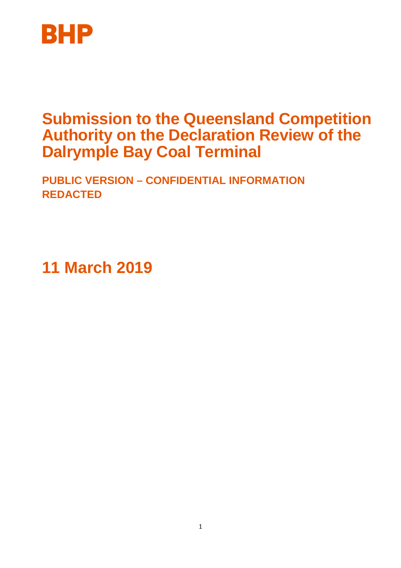

# **Submission to the Queensland Competition Authority on the Declaration Review of the Dalrymple Bay Coal Terminal**

**PUBLIC VERSION – CONFIDENTIAL INFORMATION REDACTED** 

**11 March 2019**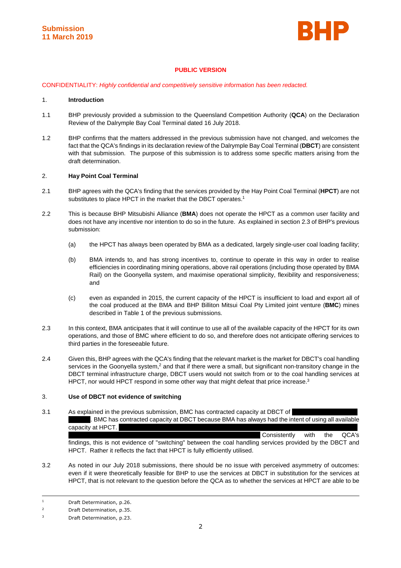

# **PUBLIC VERSION**

CONFIDENTIALITY: Highly confidential and competitively sensitive information has been redacted.

#### 1. **Introduction**

- 1.1 BHP previously provided a submission to the Queensland Competition Authority (**QCA**) on the Declaration Review of the Dalrymple Bay Coal Terminal dated 16 July 2018.
- 1.2 BHP confirms that the matters addressed in the previous submission have not changed, and welcomes the fact that the QCA's findings in its declaration review of the Dalrymple Bay Coal Terminal (**DBCT**) are consistent with that submission. The purpose of this submission is to address some specific matters arising from the draft determination.

#### 2. **Hay Point Coal Terminal**

- 2.1 BHP agrees with the QCA's finding that the services provided by the Hay Point Coal Terminal (**HPCT**) are not substitutes to place HPCT in the market that the DBCT operates.<sup>1</sup>
- 2.2 This is because BHP Mitsubishi Alliance (**BMA**) does not operate the HPCT as a common user facility and does not have any incentive nor intention to do so in the future. As explained in section 2.3 of BHP's previous submission:
	- (a) the HPCT has always been operated by BMA as a dedicated, largely single-user coal loading facility;
	- (b) BMA intends to, and has strong incentives to, continue to operate in this way in order to realise efficiencies in coordinating mining operations, above rail operations (including those operated by BMA Rail) on the Goonyella system, and maximise operational simplicity, flexibility and responsiveness; and
	- (c) even as expanded in 2015, the current capacity of the HPCT is insufficient to load and export all of the coal produced at the BMA and BHP Billiton Mitsui Coal Pty Limited joint venture (**BMC**) mines described in Table 1 of the previous submissions.
- 2.3 In this context, BMA anticipates that it will continue to use all of the available capacity of the HPCT for its own operations, and those of BMC where efficient to do so, and therefore does not anticipate offering services to third parties in the foreseeable future.
- 2.4 Given this, BHP agrees with the QCA's finding that the relevant market is the market for DBCT's coal handling services in the Goonyella system,<sup>2</sup> and that if there were a small, but significant non-transitory change in the DBCT terminal infrastructure charge, DBCT users would not switch from or to the coal handling services at HPCT, nor would HPCT respond in some other way that might defeat that price increase.<sup>3</sup>

### 3. **Use of DBCT not evidence of switching**

3.1 As explained in the previous submission, BMC has contracted capacity at DBCT of . BMC has contracted capacity at DBCT because BMA has always had the intent of using all available capacity at HPCT. Consistently with the QCA's

findings, this is not evidence of "switching" between the coal handling services provided by the DBCT and HPCT. Rather it reflects the fact that HPCT is fully efficiently utilised.

3.2 As noted in our July 2018 submissions, there should be no issue with perceived asymmetry of outcomes: even if it were theoretically feasible for BHP to use the services at DBCT in substitution for the services at HPCT, that is not relevant to the question before the QCA as to whether the services at HPCT are able to be

ł

<sup>1</sup> Draft Determination, p.26.

 $\overline{2}$ Draft Determination, p.35.

<sup>3</sup> Draft Determination, p.23.